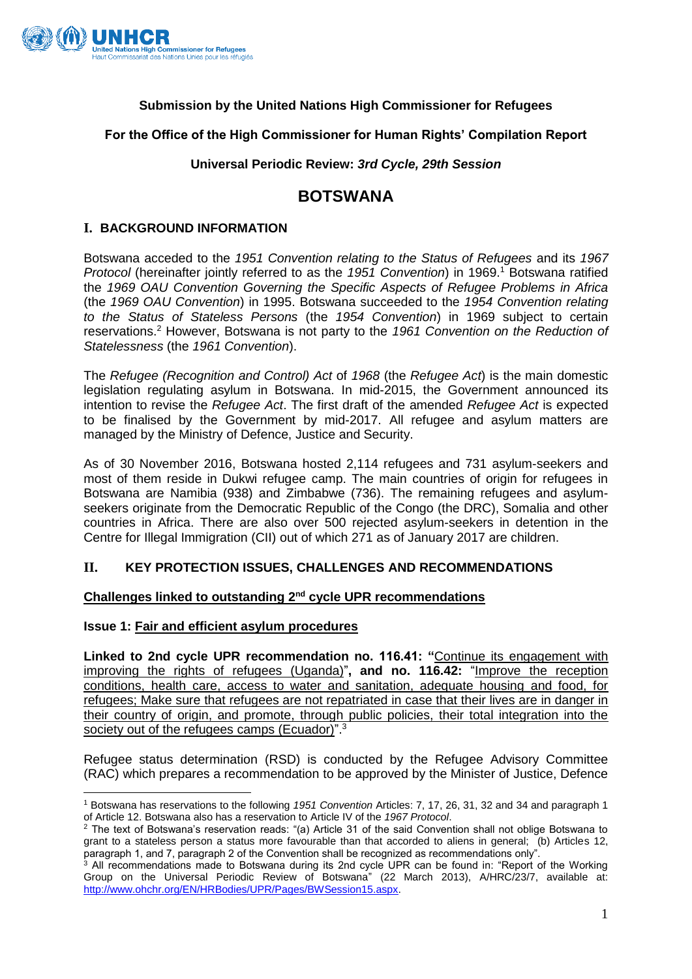

# **Submission by the United Nations High Commissioner for Refugees**

# **For the Office of the High Commissioner for Human Rights' Compilation Report**

## **Universal Periodic Review:** *3rd Cycle, 29th Session*

# **BOTSWANA**

## **I. BACKGROUND INFORMATION**

Botswana acceded to the *1951 Convention relating to the Status of Refugees* and its *1967 Protocol* (hereinafter jointly referred to as the *1951 Convention*) in 1969. <sup>1</sup> Botswana ratified the *1969 OAU Convention Governing the Specific Aspects of Refugee Problems in Africa* (the *1969 OAU Convention*) in 1995. Botswana succeeded to the *1954 Convention relating to the Status of Stateless Persons* (the *1954 Convention*) in 1969 subject to certain reservations.<sup>2</sup> However, Botswana is not party to the *1961 Convention on the Reduction of Statelessness* (the *1961 Convention*).

The *Refugee (Recognition and Control) Act* of *1968* (the *Refugee Act*) is the main domestic legislation regulating asylum in Botswana. In mid-2015, the Government announced its intention to revise the *Refugee Act*. The first draft of the amended *Refugee Act* is expected to be finalised by the Government by mid-2017. All refugee and asylum matters are managed by the Ministry of Defence, Justice and Security.

As of 30 November 2016, Botswana hosted 2,114 refugees and 731 asylum-seekers and most of them reside in Dukwi refugee camp. The main countries of origin for refugees in Botswana are Namibia (938) and Zimbabwe (736). The remaining refugees and asylumseekers originate from the Democratic Republic of the Congo (the DRC), Somalia and other countries in Africa. There are also over 500 rejected asylum-seekers in detention in the Centre for Illegal Immigration (CII) out of which 271 as of January 2017 are children.

# **II. KEY PROTECTION ISSUES, CHALLENGES AND RECOMMENDATIONS**

#### **Challenges linked to outstanding 2nd cycle UPR recommendations**

#### **Issue 1: Fair and efficient asylum procedures**

**Linked to 2nd cycle UPR recommendation no. 116.41: "**Continue its engagement with improving the rights of refugees (Uganda)"**, and no. 116.42:** "Improve the reception conditions, health care, access to water and sanitation, adequate housing and food, for refugees; Make sure that refugees are not repatriated in case that their lives are in danger in their country of origin, and promote, through public policies, their total integration into the society out of the refugees camps (Ecuador)".<sup>3</sup>

Refugee status determination (RSD) is conducted by the Refugee Advisory Committee (RAC) which prepares a recommendation to be approved by the Minister of Justice, Defence

**<sup>.</sup>** <sup>1</sup> Botswana has reservations to the following *1951 Convention* Articles: 7, 17, 26, 31, 32 and 34 and paragraph 1 of Article 12. Botswana also has a reservation to Article IV of the *1967 Protocol*.

<sup>&</sup>lt;sup>2</sup> The text of Botswana's reservation reads: "(a) Article 31 of the said Convention shall not oblige Botswana to grant to a stateless person a status more favourable than that accorded to aliens in general; (b) Articles 12, paragraph 1, and 7, paragraph 2 of the Convention shall be recognized as recommendations only".

<sup>&</sup>lt;sup>3</sup> All recommendations made to Botswana during its 2nd cycle UPR can be found in: "Report of the Working Group on the Universal Periodic Review of Botswana" (22 March 2013), A/HRC/23/7, available at: [http://www.ohchr.org/EN/HRBodies/UPR/Pages/BWSession15.aspx.](http://www.ohchr.org/EN/HRBodies/UPR/Pages/BWSession15.aspx)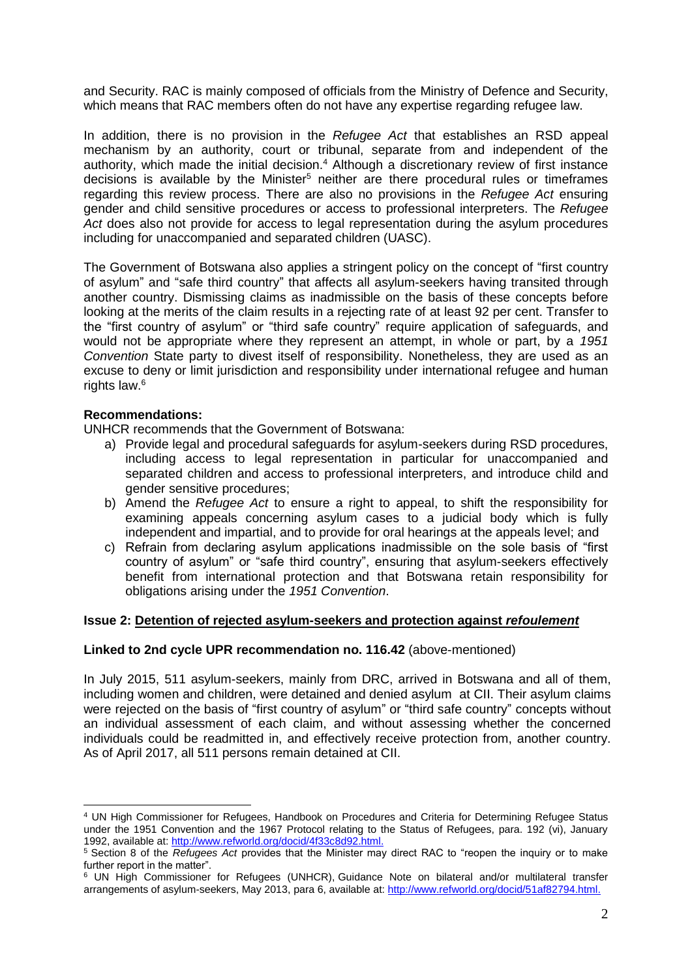and Security. RAC is mainly composed of officials from the Ministry of Defence and Security, which means that RAC members often do not have any expertise regarding refugee law.

In addition, there is no provision in the *Refugee Act* that establishes an RSD appeal mechanism by an authority, court or tribunal, separate from and independent of the authority, which made the initial decision.<sup>4</sup> Although a discretionary review of first instance decisions is available by the Minister<sup>5</sup> neither are there procedural rules or timeframes regarding this review process. There are also no provisions in the *Refugee Act* ensuring gender and child sensitive procedures or access to professional interpreters. The *Refugee Act* does also not provide for access to legal representation during the asylum procedures including for unaccompanied and separated children (UASC).

The Government of Botswana also applies a stringent policy on the concept of "first country of asylum" and "safe third country" that affects all asylum-seekers having transited through another country. Dismissing claims as inadmissible on the basis of these concepts before looking at the merits of the claim results in a rejecting rate of at least 92 per cent. Transfer to the "first country of asylum" or "third safe country" require application of safeguards, and would not be appropriate where they represent an attempt, in whole or part, by a *1951 Convention* State party to divest itself of responsibility. Nonetheless, they are used as an excuse to deny or limit jurisdiction and responsibility under international refugee and human rights law. 6

### **Recommendations:**

1

UNHCR recommends that the Government of Botswana:

- a) Provide legal and procedural safeguards for asylum-seekers during RSD procedures, including access to legal representation in particular for unaccompanied and separated children and access to professional interpreters, and introduce child and gender sensitive procedures;
- b) Amend the *Refugee Act* to ensure a right to appeal, to shift the responsibility for examining appeals concerning asylum cases to a judicial body which is fully independent and impartial, and to provide for oral hearings at the appeals level; and
- c) Refrain from declaring asylum applications inadmissible on the sole basis of "first country of asylum" or "safe third country", ensuring that asylum-seekers effectively benefit from international protection and that Botswana retain responsibility for obligations arising under the *1951 Convention*.

#### **Issue 2: Detention of rejected asylum-seekers and protection against** *refoulement*

# **Linked to 2nd cycle UPR recommendation no. 116.42** (above-mentioned)

In July 2015, 511 asylum-seekers, mainly from DRC, arrived in Botswana and all of them, including women and children, were detained and denied asylum at CII. Their asylum claims were rejected on the basis of "first country of asylum" or "third safe country" concepts without an individual assessment of each claim, and without assessing whether the concerned individuals could be readmitted in, and effectively receive protection from, another country. As of April 2017, all 511 persons remain detained at CII.

<sup>4</sup> UN High Commissioner for Refugees, Handbook on Procedures and Criteria for Determining Refugee Status under the 1951 Convention and the 1967 Protocol relating to the Status of Refugees, para. 192 (vi), January 1992, available at[: http://www.refworld.org/docid/4f33c8d92.html.](http://www.refworld.org/docid/4f33c8d92.html)

<sup>5</sup> Section 8 of the *Refugees Act* provides that the Minister may direct RAC to "reopen the inquiry or to make further report in the matter".

<sup>6</sup> UN High Commissioner for Refugees (UNHCR), Guidance Note on bilateral and/or multilateral transfer arrangements of asylum-seekers, May 2013, para 6, available at: [http://www.refworld.org/docid/51af82794.html.](http://www.refworld.org/docid/51af82794.html)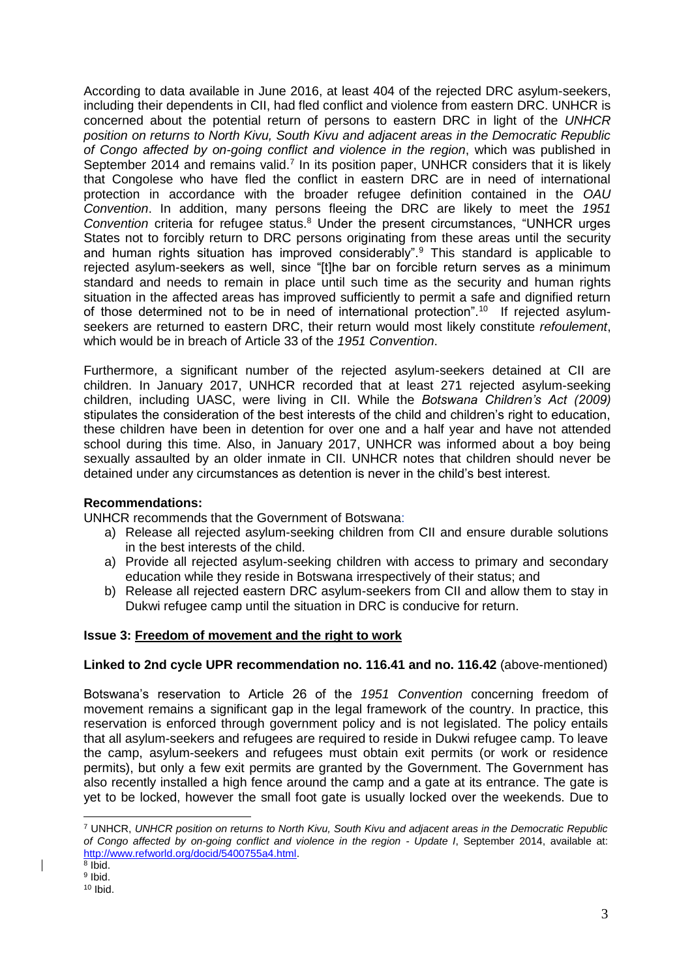According to data available in June 2016, at least 404 of the rejected DRC asylum-seekers, including their dependents in CII, had fled conflict and violence from eastern DRC. UNHCR is concerned about the potential return of persons to eastern DRC in light of the *UNHCR position on returns to North Kivu, South Kivu and adjacent areas in the Democratic Republic of Congo affected by on-going conflict and violence in the region*, which was published in September 2014 and remains valid.<sup>7</sup> In its position paper, UNHCR considers that it is likely that Congolese who have fled the conflict in eastern DRC are in need of international protection in accordance with the broader refugee definition contained in the *OAU Convention*. In addition, many persons fleeing the DRC are likely to meet the *1951 Convention* criteria for refugee status.<sup>8</sup> Under the present circumstances, "UNHCR urges States not to forcibly return to DRC persons originating from these areas until the security and human rights situation has improved considerably".<sup>9</sup> This standard is applicable to rejected asylum-seekers as well, since "[t]he bar on forcible return serves as a minimum standard and needs to remain in place until such time as the security and human rights situation in the affected areas has improved sufficiently to permit a safe and dignified return of those determined not to be in need of international protection".<sup>10</sup> If rejected asylumseekers are returned to eastern DRC, their return would most likely constitute *refoulement*, which would be in breach of Article 33 of the *1951 Convention*.

Furthermore, a significant number of the rejected asylum-seekers detained at CII are children. In January 2017, UNHCR recorded that at least 271 rejected asylum-seeking children, including UASC, were living in CII. While the *Botswana Children's Act (2009)*  stipulates the consideration of the best interests of the child and children's right to education, these children have been in detention for over one and a half year and have not attended school during this time. Also, in January 2017, UNHCR was informed about a boy being sexually assaulted by an older inmate in CII. UNHCR notes that children should never be detained under any circumstances as detention is never in the child's best interest.

# **Recommendations:**

UNHCR recommends that the Government of Botswana:

- a) Release all rejected asylum-seeking children from CII and ensure durable solutions in the best interests of the child.
- a) Provide all rejected asylum-seeking children with access to primary and secondary education while they reside in Botswana irrespectively of their status; and
- b) Release all rejected eastern DRC asylum-seekers from CII and allow them to stay in Dukwi refugee camp until the situation in DRC is conducive for return.

# **Issue 3: Freedom of movement and the right to work**

# **Linked to 2nd cycle UPR recommendation no. 116.41 and no. 116.42** (above-mentioned)

Botswana's reservation to Article 26 of the *1951 Convention* concerning freedom of movement remains a significant gap in the legal framework of the country. In practice, this reservation is enforced through government policy and is not legislated. The policy entails that all asylum-seekers and refugees are required to reside in Dukwi refugee camp. To leave the camp, asylum-seekers and refugees must obtain exit permits (or work or residence permits), but only a few exit permits are granted by the Government. The Government has also recently installed a high fence around the camp and a gate at its entrance. The gate is yet to be locked, however the small foot gate is usually locked over the weekends. Due to

**<sup>.</sup>** <sup>7</sup> UNHCR, *UNHCR position on returns to North Kivu, South Kivu and adjacent areas in the Democratic Republic of Congo affected by on-going conflict and violence in the region - Update I*, September 2014, available at: [http://www.refworld.org/docid/5400755a4.html.](http://www.refworld.org/docid/5400755a4.html)

<sup>8</sup> Ibid.

<sup>&</sup>lt;sup>9</sup> Ibid.  $10$  Ibid.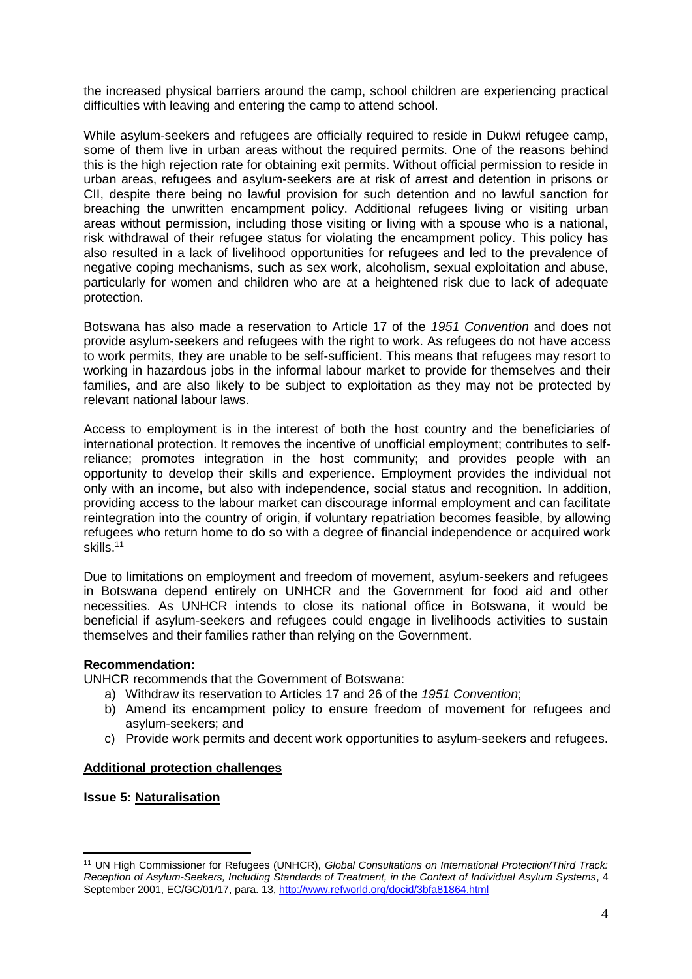the increased physical barriers around the camp, school children are experiencing practical difficulties with leaving and entering the camp to attend school.

While asylum-seekers and refugees are officially required to reside in Dukwi refugee camp, some of them live in urban areas without the required permits. One of the reasons behind this is the high rejection rate for obtaining exit permits. Without official permission to reside in urban areas, refugees and asylum-seekers are at risk of arrest and detention in prisons or CII, despite there being no lawful provision for such detention and no lawful sanction for breaching the unwritten encampment policy. Additional refugees living or visiting urban areas without permission, including those visiting or living with a spouse who is a national, risk withdrawal of their refugee status for violating the encampment policy. This policy has also resulted in a lack of livelihood opportunities for refugees and led to the prevalence of negative coping mechanisms, such as sex work, alcoholism, sexual exploitation and abuse, particularly for women and children who are at a heightened risk due to lack of adequate protection.

Botswana has also made a reservation to Article 17 of the *1951 Convention* and does not provide asylum-seekers and refugees with the right to work. As refugees do not have access to work permits, they are unable to be self-sufficient. This means that refugees may resort to working in hazardous jobs in the informal labour market to provide for themselves and their families, and are also likely to be subject to exploitation as they may not be protected by relevant national labour laws.

Access to employment is in the interest of both the host country and the beneficiaries of international protection. It removes the incentive of unofficial employment; contributes to selfreliance; promotes integration in the host community; and provides people with an opportunity to develop their skills and experience. Employment provides the individual not only with an income, but also with independence, social status and recognition. In addition, providing access to the labour market can discourage informal employment and can facilitate reintegration into the country of origin, if voluntary repatriation becomes feasible, by allowing refugees who return home to do so with a degree of financial independence or acquired work skills.<sup>11</sup>

Due to limitations on employment and freedom of movement, asylum-seekers and refugees in Botswana depend entirely on UNHCR and the Government for food aid and other necessities. As UNHCR intends to close its national office in Botswana, it would be beneficial if asylum-seekers and refugees could engage in livelihoods activities to sustain themselves and their families rather than relying on the Government.

#### **Recommendation:**

UNHCR recommends that the Government of Botswana:

- a) Withdraw its reservation to Articles 17 and 26 of the *1951 Convention*;
- b) Amend its encampment policy to ensure freedom of movement for refugees and asylum-seekers; and
- c) Provide work permits and decent work opportunities to asylum-seekers and refugees.

# **Additional protection challenges**

### **Issue 5: Naturalisation**

**.** 

<sup>11</sup> UN High Commissioner for Refugees (UNHCR), *Global Consultations on International Protection/Third Track: Reception of Asylum-Seekers, Including Standards of Treatment, in the Context of Individual Asylum Systems*, 4 September 2001, EC/GC/01/17, para. 13,<http://www.refworld.org/docid/3bfa81864.html>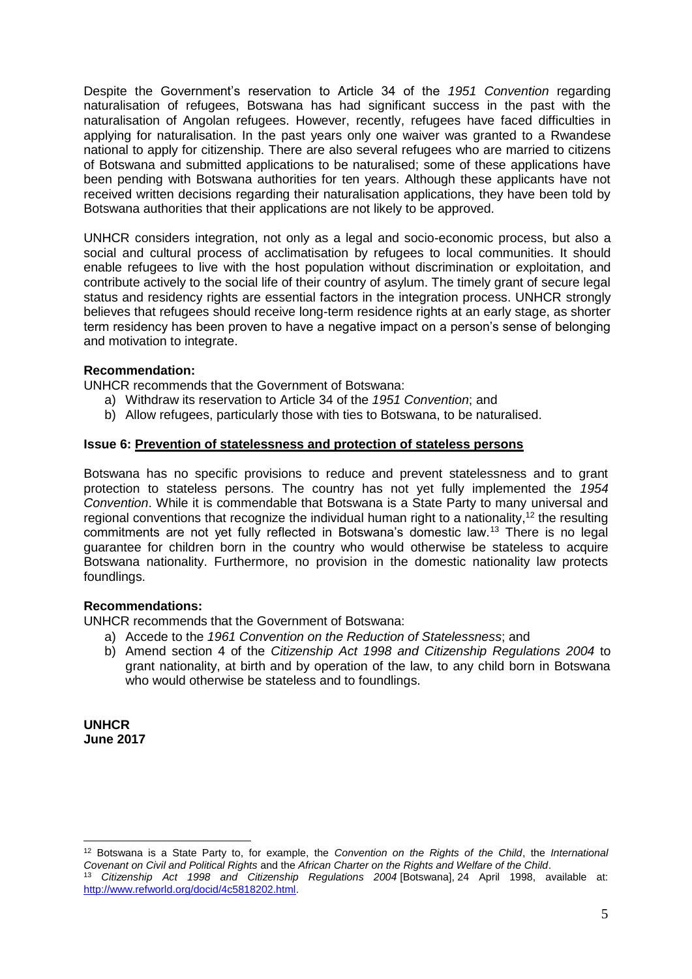Despite the Government's reservation to Article 34 of the *1951 Convention* regarding naturalisation of refugees, Botswana has had significant success in the past with the naturalisation of Angolan refugees. However, recently, refugees have faced difficulties in applying for naturalisation. In the past years only one waiver was granted to a Rwandese national to apply for citizenship. There are also several refugees who are married to citizens of Botswana and submitted applications to be naturalised; some of these applications have been pending with Botswana authorities for ten years. Although these applicants have not received written decisions regarding their naturalisation applications, they have been told by Botswana authorities that their applications are not likely to be approved.

UNHCR considers integration, not only as a legal and socio-economic process, but also a social and cultural process of acclimatisation by refugees to local communities. It should enable refugees to live with the host population without discrimination or exploitation, and contribute actively to the social life of their country of asylum. The timely grant of secure legal status and residency rights are essential factors in the integration process. UNHCR strongly believes that refugees should receive long-term residence rights at an early stage, as shorter term residency has been proven to have a negative impact on a person's sense of belonging and motivation to integrate.

### **Recommendation:**

UNHCR recommends that the Government of Botswana:

- a) Withdraw its reservation to Article 34 of the *1951 Convention*; and
- b) Allow refugees, particularly those with ties to Botswana, to be naturalised.

#### **Issue 6: Prevention of statelessness and protection of stateless persons**

Botswana has no specific provisions to reduce and prevent statelessness and to grant protection to stateless persons. The country has not yet fully implemented the *1954 Convention*. While it is commendable that Botswana is a State Party to many universal and regional conventions that recognize the individual human right to a nationality,<sup>12</sup> the resulting commitments are not yet fully reflected in Botswana's domestic law.<sup>13</sup> There is no legal guarantee for children born in the country who would otherwise be stateless to acquire Botswana nationality. Furthermore, no provision in the domestic nationality law protects foundlings.

#### **Recommendations:**

UNHCR recommends that the Government of Botswana:

- a) Accede to the *1961 Convention on the Reduction of Statelessness*; and
- b) Amend section 4 of the *Citizenship Act 1998 and Citizenship Regulations 2004* to grant nationality, at birth and by operation of the law, to any child born in Botswana who would otherwise be stateless and to foundlings.

**UNHCR June 2017**

<sup>1</sup> <sup>12</sup> Botswana is a State Party to, for example, the *Convention on the Rights of the Child*, the *International Covenant on Civil and Political Rights* and the *African Charter on the Rights and Welfare of the Child*.

<sup>13</sup> *Citizenship Act 1998 and Citizenship Regulations 2004* [Botswana], 24 April 1998, available at: [http://www.refworld.org/docid/4c5818202.html.](http://www.refworld.org/docid/4c5818202.html)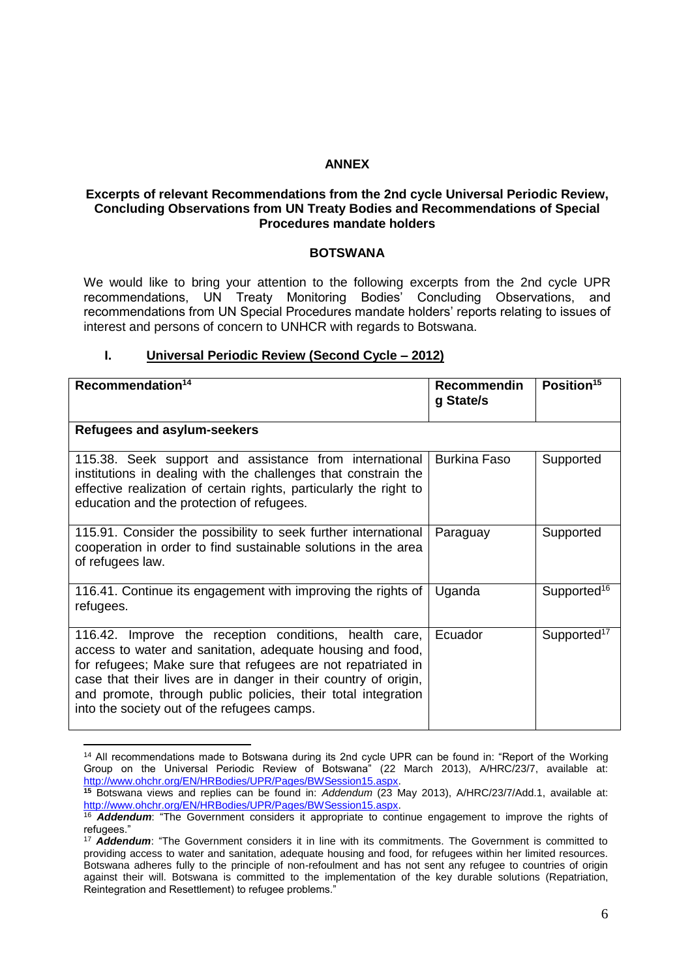# **ANNEX**

### **Excerpts of relevant Recommendations from the 2nd cycle Universal Periodic Review, Concluding Observations from UN Treaty Bodies and Recommendations of Special Procedures mandate holders**

### **BOTSWANA**

We would like to bring your attention to the following excerpts from the 2nd cycle UPR recommendations, UN Treaty Monitoring Bodies' Concluding Observations, and recommendations from UN Special Procedures mandate holders' reports relating to issues of interest and persons of concern to UNHCR with regards to Botswana.

### **I. Universal Periodic Review (Second Cycle – 2012)**

| Recommendation <sup>14</sup>                                                                                                                                                                                                                                                                                                                                            | Recommendin<br>g State/s | Position <sup>15</sup>  |
|-------------------------------------------------------------------------------------------------------------------------------------------------------------------------------------------------------------------------------------------------------------------------------------------------------------------------------------------------------------------------|--------------------------|-------------------------|
| Refugees and asylum-seekers                                                                                                                                                                                                                                                                                                                                             |                          |                         |
| 115.38. Seek support and assistance from international<br>institutions in dealing with the challenges that constrain the<br>effective realization of certain rights, particularly the right to<br>education and the protection of refugees.                                                                                                                             | <b>Burkina Faso</b>      | Supported               |
| 115.91. Consider the possibility to seek further international<br>cooperation in order to find sustainable solutions in the area<br>of refugees law.                                                                                                                                                                                                                    | Paraguay                 | Supported               |
| 116.41. Continue its engagement with improving the rights of<br>refugees.                                                                                                                                                                                                                                                                                               | Uganda                   | Supported <sup>16</sup> |
| 116.42. Improve the reception conditions, health care,<br>access to water and sanitation, adequate housing and food,<br>for refugees; Make sure that refugees are not repatriated in<br>case that their lives are in danger in their country of origin,<br>and promote, through public policies, their total integration<br>into the society out of the refugees camps. | Ecuador                  | Supported <sup>17</sup> |

<sup>1</sup> <sup>14</sup> All recommendations made to Botswana during its 2nd cycle UPR can be found in: "Report of the Working Group on the Universal Periodic Review of Botswana" (22 March 2013), A/HRC/23/7, available at: [http://www.ohchr.org/EN/HRBodies/UPR/Pages/BWSession15.aspx.](http://www.ohchr.org/EN/HRBodies/UPR/Pages/BWSession15.aspx)

**<sup>15</sup>** Botswana views and replies can be found in: *Addendum* (23 May 2013), A/HRC/23/7/Add.1, available at: [http://www.ohchr.org/EN/HRBodies/UPR/Pages/BWSession15.aspx.](http://www.ohchr.org/EN/HRBodies/UPR/Pages/BWSession15.aspx)

<sup>16</sup> *Addendum*: "The Government considers it appropriate to continue engagement to improve the rights of refugees."

<sup>&</sup>lt;sup>17</sup> Addendum: "The Government considers it in line with its commitments. The Government is committed to providing access to water and sanitation, adequate housing and food, for refugees within her limited resources. Botswana adheres fully to the principle of non-refoulment and has not sent any refugee to countries of origin against their will. Botswana is committed to the implementation of the key durable solutions (Repatriation, Reintegration and Resettlement) to refugee problems."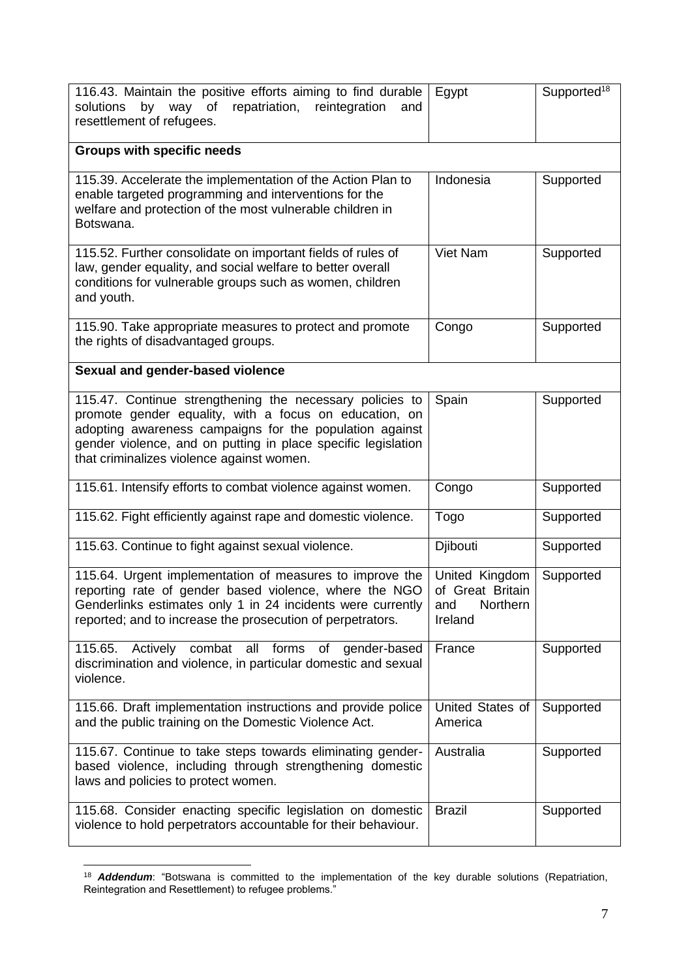| 116.43. Maintain the positive efforts aiming to find durable<br>by way of repatriation, reintegration<br>solutions<br>and<br>resettlement of refugees.                                                                                                                                      | Egypt                                                            | Supported <sup>18</sup> |
|---------------------------------------------------------------------------------------------------------------------------------------------------------------------------------------------------------------------------------------------------------------------------------------------|------------------------------------------------------------------|-------------------------|
| <b>Groups with specific needs</b>                                                                                                                                                                                                                                                           |                                                                  |                         |
| 115.39. Accelerate the implementation of the Action Plan to<br>enable targeted programming and interventions for the<br>welfare and protection of the most vulnerable children in<br>Botswana.                                                                                              | Indonesia                                                        | Supported               |
| 115.52. Further consolidate on important fields of rules of<br>law, gender equality, and social welfare to better overall<br>conditions for vulnerable groups such as women, children<br>and youth.                                                                                         | Viet Nam                                                         | Supported               |
| 115.90. Take appropriate measures to protect and promote<br>the rights of disadvantaged groups.                                                                                                                                                                                             | Congo                                                            | Supported               |
| Sexual and gender-based violence                                                                                                                                                                                                                                                            |                                                                  |                         |
| 115.47. Continue strengthening the necessary policies to<br>promote gender equality, with a focus on education, on<br>adopting awareness campaigns for the population against<br>gender violence, and on putting in place specific legislation<br>that criminalizes violence against women. | Spain                                                            | Supported               |
| 115.61. Intensify efforts to combat violence against women.                                                                                                                                                                                                                                 | Congo                                                            | Supported               |
| 115.62. Fight efficiently against rape and domestic violence.                                                                                                                                                                                                                               | Togo                                                             | Supported               |
| 115.63. Continue to fight against sexual violence.                                                                                                                                                                                                                                          | Djibouti                                                         | Supported               |
| 115.64. Urgent implementation of measures to improve the<br>reporting rate of gender based violence, where the NGO<br>Genderlinks estimates only 1 in 24 incidents were currently<br>reported; and to increase the prosecution of perpetrators.                                             | United Kingdom<br>of Great Britain<br>Northern<br>and<br>Ireland | Supported               |
| 115.65.<br>combat all<br>forms<br>Actively<br>of<br>gender-based<br>discrimination and violence, in particular domestic and sexual<br>violence.                                                                                                                                             | France                                                           | Supported               |
| 115.66. Draft implementation instructions and provide police<br>and the public training on the Domestic Violence Act.                                                                                                                                                                       | United States of<br>America                                      | Supported               |
| 115.67. Continue to take steps towards eliminating gender-<br>based violence, including through strengthening domestic<br>laws and policies to protect women.                                                                                                                               | Australia                                                        | Supported               |
| 115.68. Consider enacting specific legislation on domestic<br>violence to hold perpetrators accountable for their behaviour.                                                                                                                                                                | <b>Brazil</b>                                                    | Supported               |

<sup>1</sup> <sup>18</sup> *Addendum*: "Botswana is committed to the implementation of the key durable solutions (Repatriation, Reintegration and Resettlement) to refugee problems."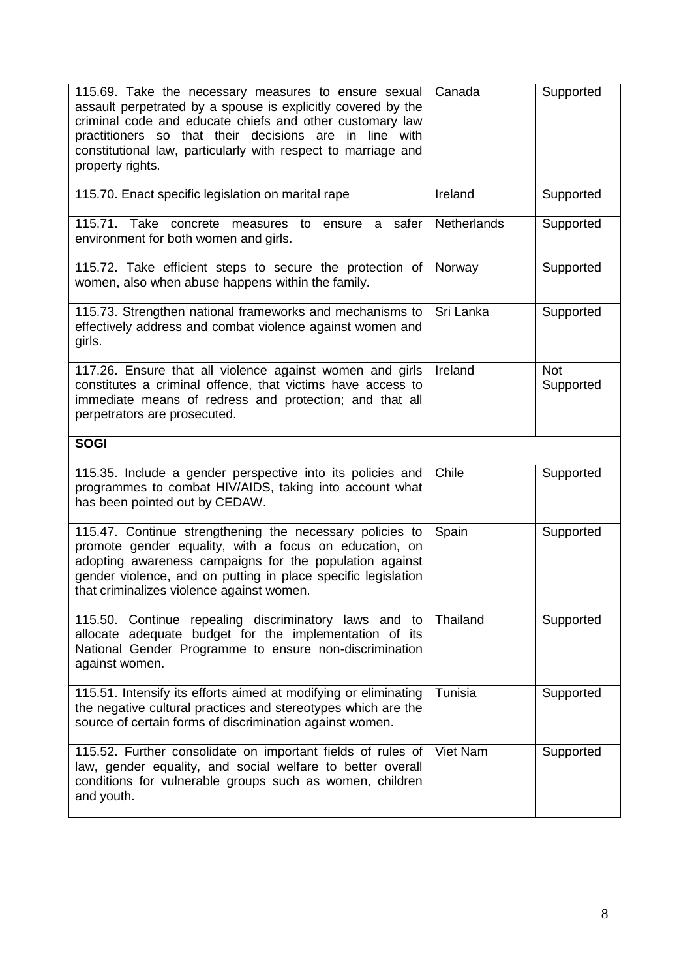| 115.69. Take the necessary measures to ensure sexual<br>assault perpetrated by a spouse is explicitly covered by the<br>criminal code and educate chiefs and other customary law<br>practitioners so that their decisions are in line with<br>constitutional law, particularly with respect to marriage and<br>property rights. | Canada      | Supported               |
|---------------------------------------------------------------------------------------------------------------------------------------------------------------------------------------------------------------------------------------------------------------------------------------------------------------------------------|-------------|-------------------------|
| 115.70. Enact specific legislation on marital rape                                                                                                                                                                                                                                                                              | Ireland     | Supported               |
| 115.71. Take concrete measures to ensure a<br>safer<br>environment for both women and girls.                                                                                                                                                                                                                                    | Netherlands | Supported               |
| 115.72. Take efficient steps to secure the protection of<br>women, also when abuse happens within the family.                                                                                                                                                                                                                   | Norway      | Supported               |
| 115.73. Strengthen national frameworks and mechanisms to<br>effectively address and combat violence against women and<br>girls.                                                                                                                                                                                                 | Sri Lanka   | Supported               |
| 117.26. Ensure that all violence against women and girls<br>constitutes a criminal offence, that victims have access to<br>immediate means of redress and protection; and that all<br>perpetrators are prosecuted.                                                                                                              | Ireland     | <b>Not</b><br>Supported |
| <b>SOGI</b>                                                                                                                                                                                                                                                                                                                     |             |                         |
| 115.35. Include a gender perspective into its policies and<br>programmes to combat HIV/AIDS, taking into account what<br>has been pointed out by CEDAW.                                                                                                                                                                         | Chile       | Supported               |
| 115.47. Continue strengthening the necessary policies to<br>promote gender equality, with a focus on education, on<br>adopting awareness campaigns for the population against<br>gender violence, and on putting in place specific legislation<br>that criminalizes violence against women.                                     | Spain       | Supported               |
| 115.50. Continue repealing discriminatory laws and to<br>allocate adequate budget for the implementation of its<br>National Gender Programme to ensure non-discrimination<br>against women.                                                                                                                                     | Thailand    | Supported               |
| 115.51. Intensify its efforts aimed at modifying or eliminating<br>the negative cultural practices and stereotypes which are the<br>source of certain forms of discrimination against women.                                                                                                                                    | Tunisia     | Supported               |
| 115.52. Further consolidate on important fields of rules of<br>law, gender equality, and social welfare to better overall<br>conditions for vulnerable groups such as women, children<br>and youth.                                                                                                                             | Viet Nam    | Supported               |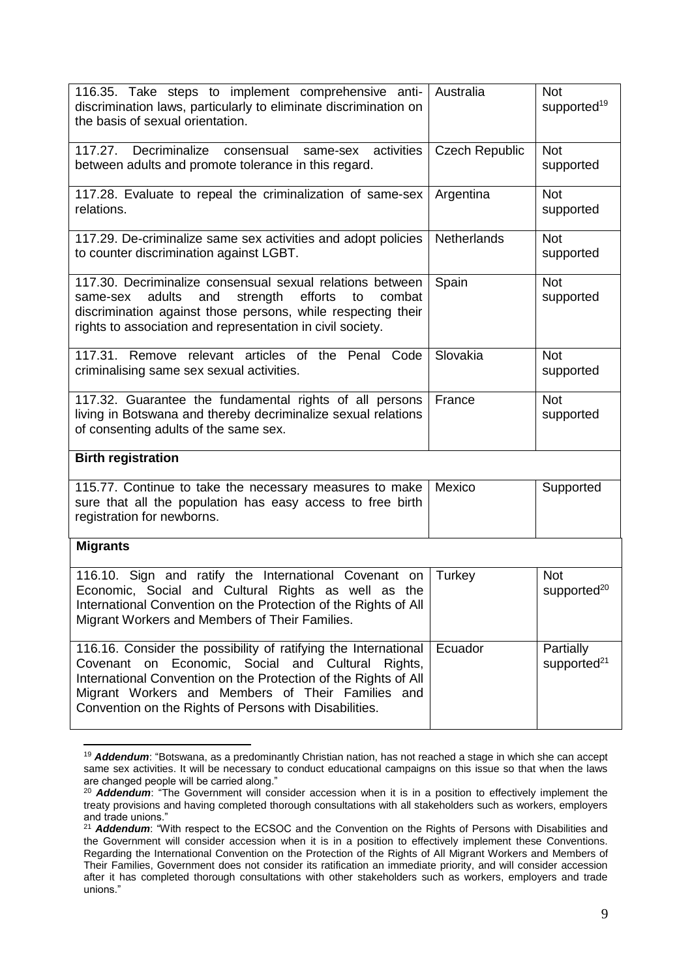| 116.35. Take steps to implement comprehensive anti-<br>discrimination laws, particularly to eliminate discrimination on<br>the basis of sexual orientation.                                                                                                                                                     | Australia             | <b>Not</b><br>supported <sup>19</sup>       |
|-----------------------------------------------------------------------------------------------------------------------------------------------------------------------------------------------------------------------------------------------------------------------------------------------------------------|-----------------------|---------------------------------------------|
| 117.27. Decriminalize<br>same-sex activities<br>consensual<br>between adults and promote tolerance in this regard.                                                                                                                                                                                              | <b>Czech Republic</b> | <b>Not</b><br>supported                     |
| 117.28. Evaluate to repeal the criminalization of same-sex<br>relations.                                                                                                                                                                                                                                        | Argentina             | <b>Not</b><br>supported                     |
| 117.29. De-criminalize same sex activities and adopt policies<br>to counter discrimination against LGBT.                                                                                                                                                                                                        | Netherlands           | <b>Not</b><br>supported                     |
| 117.30. Decriminalize consensual sexual relations between<br>adults<br>strength<br>efforts<br>combat<br>and<br>to<br>same-sex<br>discrimination against those persons, while respecting their<br>rights to association and representation in civil society.                                                     | Spain                 | <b>Not</b><br>supported                     |
| 117.31. Remove relevant articles of the Penal Code<br>criminalising same sex sexual activities.                                                                                                                                                                                                                 | Slovakia              | <b>Not</b><br>supported                     |
| 117.32. Guarantee the fundamental rights of all persons<br>living in Botswana and thereby decriminalize sexual relations<br>of consenting adults of the same sex.                                                                                                                                               | France                | <b>Not</b><br>supported                     |
| <b>Birth registration</b>                                                                                                                                                                                                                                                                                       |                       |                                             |
| 115.77. Continue to take the necessary measures to make<br>sure that all the population has easy access to free birth<br>registration for newborns.                                                                                                                                                             | Mexico                | Supported                                   |
| <b>Migrants</b>                                                                                                                                                                                                                                                                                                 |                       |                                             |
| 116.10. Sign and ratify the International Covenant on<br>Economic, Social and Cultural Rights as well as the<br>International Convention on the Protection of the Rights of All<br>Migrant Workers and Members of Their Families.                                                                               | Turkey                | <b>Not</b><br>supported <sup>20</sup>       |
| 116.16. Consider the possibility of ratifying the International<br>on Economic, Social<br>Covenant<br>and Cultural<br>Rights,<br>International Convention on the Protection of the Rights of All<br>Migrant Workers and Members of Their Families and<br>Convention on the Rights of Persons with Disabilities. | Ecuador               | <b>Partially</b><br>supported <sup>21</sup> |

<sup>1</sup> <sup>19</sup> *Addendum*: "Botswana, as a predominantly Christian nation, has not reached a stage in which she can accept same sex activities. It will be necessary to conduct educational campaigns on this issue so that when the laws are changed people will be carried along."

<sup>&</sup>lt;sup>20</sup> **Addendum**: "The Government will consider accession when it is in a position to effectively implement the treaty provisions and having completed thorough consultations with all stakeholders such as workers, employers and trade unions."

<sup>&</sup>lt;sup>21</sup> Addendum: "With respect to the ECSOC and the Convention on the Rights of Persons with Disabilities and the Government will consider accession when it is in a position to effectively implement these Conventions. Regarding the International Convention on the Protection of the Rights of All Migrant Workers and Members of Their Families, Government does not consider its ratification an immediate priority, and will consider accession after it has completed thorough consultations with other stakeholders such as workers, employers and trade unions."